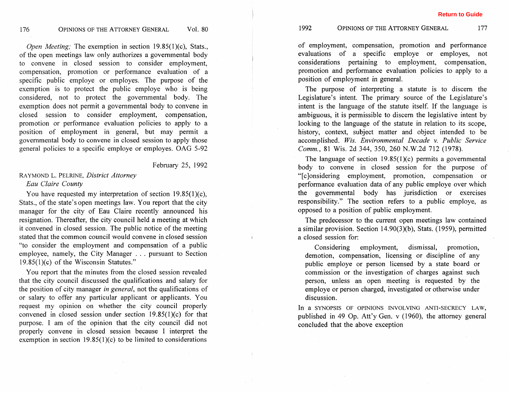*Open Meeting;* The exemption in section 19.85(1)(c), Stats., of the open meetings law only authorizes a governmental body to convene in closed session to consider employment, compensation, promotion or performance evaluation of a specific public employe or employes. The purpose of the exemption is to protect the public employe who is being considered, not to protect the governmental body. The exemption does not permit a governmental body to convene in closed session to consider employment, compensation, promotion or performance evaluation policies to apply to a position of employment in general, but may permit a governmental body to convene in closed session to apply those general policies to a specific employe or employes. OAG 5-92

### February 25, 1992

# *RAYMOND L.* PELRINE, *District Attorney Eau Claire County*

You have requested my interpretation of section  $19.85(1)(c)$ , Stats., of the state's open meetings law. You report that the city manager for the city of Eau Claire recently announced his resignation. Thereafter, the city council held a meeting at which it convened in closed session. The public notice of the meeting stated that the common council would convene in cIosed session "to consider the employment and compensation of a public employee, namely, the City Manager . . . pursuant to Section 19.85(1)(c) of the Wisconsin Statutes."

You report that the minutes from the closed session revealed that the city council discussed the qualifications and salary for the position of city manager *in general,* not the qualifications of or salary to offer any particular applicant or applicants. You request my opinion on whether the city council properly convened in closed session under section 19.85(1)(c) for that purpose. I am of the opinion that the city council did not properly convene in closed session because I interpret the exemption in section 19.85(1)(c) to be limited to considerations

of employment, compensation, promotion and performance evaluations of a specific employe or employes, not considerations pertaining to employment, compensation, promotion and performance evaluation policies to apply to a position of employment in general.

The purpose of interpreting a statute is to discern the Legislature's intent. The primary source of the Legislature's intent is the language of the statute itself. If the language is ambiguous, it is permissible to discern the legislative intent by looking to the language of the statute in relation to its scope, history, context, subject matter and object intended to be accomplished. *Wis. Environmental Decade v. Public Service Comm., 81 Wis. 2d 344, 350, 260 N.W.2d 712 (1978).* 

The language of section  $19.85(1)(c)$  permits a governmental body to convene in closed session for the purpose of "[clonsidering employment, promotion, compensation or performance evaluation data of any public employe over which the governmental body has jurisdiction or exercises responsibility." The section refers to a public employe, as opposed to a position of public employment.

The predecessor to the current open meetings law contained a similar provision. Section 14.90(3)(b), Stats. (1959), permitted a closed session for:

Considering employment, dismissal, promotion, demotion, compensation, licensing or discipline of any public employe or person licensed by a state board or commission or the investigation of charges against such person, unless an open meeting is requested by the employe or person charged, investigated or otherwise under discussion.

In a SYNOPSIS OF OPINIONS INVOLVING ANTI-SECRECY LAW, published in 49 Op. Att'y Gen. v (1960), the attorney general concluded that the above exception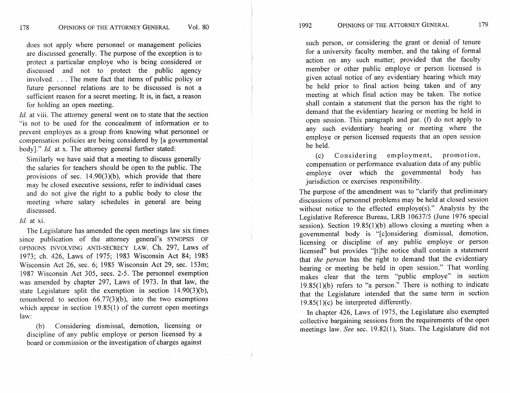does not apply where personnel or management policies are discussed generally. The purpose of the exception is to protect a particular employe who is being considered or discussed and not to protect the public agency involved. . . . The mere fact that items of public policy or future personnel relations are to be discussed is not a sufficient reason for a secret meeting. It is, in fact, a reason for holding an open meeting.

*Id.* at viii. The attorney general went on to state that the section "is not to be used for the concealment of information or to prevent employes as a group from knowing what personnel or compensation policies are being considered by [a governmental body]." *Id.* at x. The attorney general further stated:

Similarly we have said that a meeting to discuss generally the salaries for teachers should be open to the public. The provisions of sec. 14.90(3)(b), which provide that there may be closed executive sessions, refer to individual cases and do not give the right to a public body to close the meeting where salary schedules in general are being discussed.

#### *Id.* at xi.

The Legislature has amended the open meetings law six times since publication of the attorney general's SYNOPSIS OF OPINIONS INVOLVING ANTI-SECRECY LAW. Ch. 297, Laws of 1973; ch. 426, Laws of 1975; 1983 Wisconsin Act 84; 1985 Wisconsin Act 26, sec. 6; 1985 Wisconsin Act 29, sec. 153m; 1987 Wisconsin Act 305, secs. 2-5. The personnel exemption was amended by chapter 297, Laws of 1973. In that law, the state Legislature split the exemption in section 14.90(3)(b), renumbered to section  $66.77(3)(b)$ , into the two exemptions which appear in section 19.85(1) of the current open meetings law:

(b) Considering dismissal, demotion, licensing or discipline of any public employe or person licensed by a board or commission or the investigation of charges against such person, or considering the grant or denial of tenure for a university faculty member, and the taking of formal action on any such matter; provided that the faculty member or other public employe or person licensed is given actual notice of any evidentiary hearing which may be held prior to final action being taken and of any meeting at which final action may be taken. The notice shall contain a statement that the person has the right to demand that the evidentiary hearing or meeting be held in open session. This paragraph and par. (f) do not apply to any such evidentiary hearing or meeting where the employe or person licensed requests that an open session be held.

(c) Considering employment, promotion, compensation or performance evaluation data of any public employe over which the governmental body has jurisdiction or exercises responsibility.

The purpose of the amendment was to "clarify that preliminary discussions of personnel problems may be held at closed session without notice to the effected employe(s)." Analysis by the Legislative Reference Bureau, LRB 10637/5 (June 1976 special session). Section 19.85(1)(b) allows closing a meeting when a governmental body is "[clonsidering dismissal, demotion, licensing or discipline of any public employe or person licensed" but provides "[tlhe notice shall contain a statement that *the person* has the right to demand that the evidentiary hearing or meeting be held in open session." That wording makes clear that the term "public employe" in section  $19.85(1)(b)$  refers to "a person." There is nothing to indicate that the Legislature intended that the same term in section 19.85(1) $(c)$  be interpreted differently.

In chapter 426, Laws of 1975, the Legislature also exempted collective bargaining sessions from the requirements of the open meetings law. See sec. 19.82(1), Stats. The Legislature did not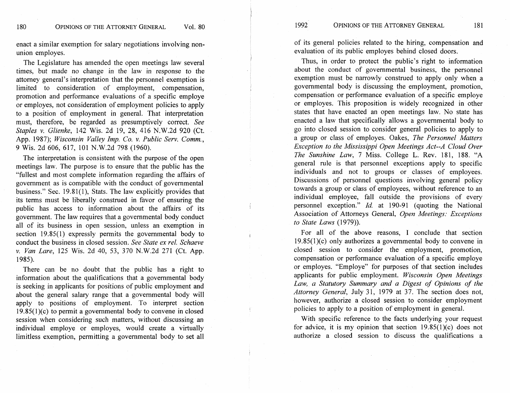enact a similar exemption for salary negotiations involving nonunion employes.

The Legislature has amended the open meetings law several times, but made no change in the law in response to the attorney general's interpretation that the personnel exemption is limited to consideration of employment, compensation, promotion and performance evaluations of a specific employe or employes, not consideration of employment policies to apply to a position of employment in general. That interpretation must, therefore, be regarded as presumptively correct. *See Staples v. Glienke,* 142 Wis. 2d 19, 28, 416 N.W.2d 920 (Ct. App. 1987); *Wisconsin Valley Imp. Co.* **v.** *Public Serv. Comrn.,*  9 Wis. 2d 606, 617, 101 N.W.2d 798 (1960).

The interpretation is consistent with the purpose of the open meetings law. The purpose is to ensure that the public has the "fullest and most complete information regarding the affairs of government as is compatible with the conduct of governmental business." Sec. 19.81(1), Stats. The law explicitly provides that its terms must be liberally construed in favor of ensuring the public has access to information about the affairs of its government. The law requires that a governmental body conduct all of its business in open session, unless an exemption in section 19.85(1) expressly permits the governmental body to conduct the business in closed session. *See State ex rel. Schaeve*  v. *Van Lare,* 125 Wis. 2d 40, 53, 370 N.W.2d 271 (Ct. App. 1985).

There can be no doubt that the public has a right to information about the qualifications that a governmental body is seeking in applicants for positions of public employment and about the general salary range that a governmental body will apply to positions of employment. To interpret section 19,85(1)(c) to permit a governmental body to convene in closed session when considering such matters, without discussing an individual employe or employes, would create a virtually limitless exemption, permitting a governmental body to set all of its general policies related to the hiring, compensation and evaluation of its public employes behind closed doors.

Thus, in order to protect the public's right to information about the conduct of governmental business, the personnel exemption must be narrowly construed to apply only when a governmental body is discussing the employment, promotion, compensation or performance evaluation of a specific employe or employes. This proposition is widely recognized in other states that have enacted an open meetings law. No state has enacted a law that specifically allows a governmental body to go into closed session to consider general policies to apply to a group or class of employes. Oakes, *The Personnel Matters Exception to the Mississippi Open Meetings Act--A Cloud Over The Sunshine Law, 7 Miss. College L. Rev. 181, 188.* "A general rule is that personnel exceptions apply to specific individuals and not to groups or classes of employees. Discussions of personnel questions involving general policy towards a group or class of employees, without reference to an individual employee, fall outside the provisions of every personnel exception."  $Id$  at 190-91 (quoting the National Association of Attorneys General, *Open Meetings: Exceptions to State Laws* (1979)).

For all of the above reasons, 1 conclude that section 19.85(1)(c) only authorizes a governmental body to convene in closed session to consider the employment, promotion, compensation or performance evaluation of a specific employe or employes. "Employe" for purposes of that section includes applicants for public employment. *Wisconsin Open Meetings Law, a Statutory Summary and a Digest of Opinions of the Attorney General, July 31, 1979 at 37. The section does not,* however, authorize a closed session to consider employment policies to apply to a position of employment in general.

With specific reference to the facts underlying your request for advice, it is my opinion that section 19.85(1)(c) does not authorize a closed session to discuss the qualifications a